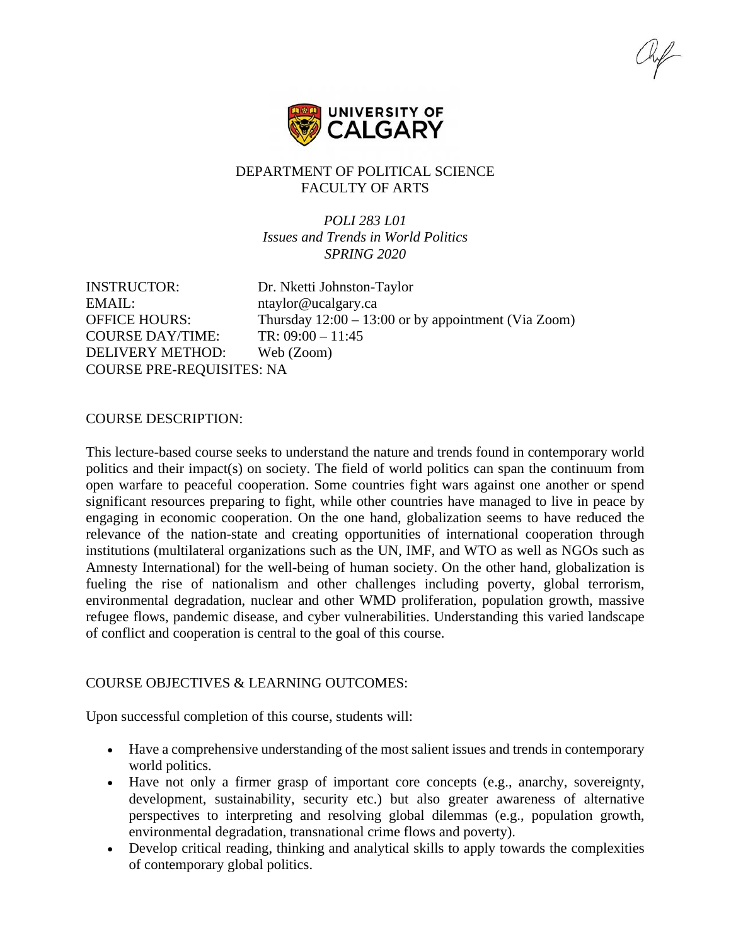

### DEPARTMENT OF POLITICAL SCIENCE FACULTY OF ARTS

*POLI 283 L01 Issues and Trends in World Politics SPRING 2020*

INSTRUCTOR: Dr. Nketti Johnston-Taylor EMAIL: https://https://https://https://doi.org/2012/07/2012 OFFICE HOURS: Thursday 12:00 – 13:00 or by appointment (Via Zoom) COURSE DAY/TIME: TR: 09:00 – 11:45 DELIVERY METHOD: Web (Zoom) COURSE PRE-REQUISITES: NA

#### COURSE DESCRIPTION:

This lecture-based course seeks to understand the nature and trends found in contemporary world politics and their impact(s) on society. The field of world politics can span the continuum from open warfare to peaceful cooperation. Some countries fight wars against one another or spend significant resources preparing to fight, while other countries have managed to live in peace by engaging in economic cooperation. On the one hand, globalization seems to have reduced the relevance of the nation-state and creating opportunities of international cooperation through institutions (multilateral organizations such as the UN, IMF, and WTO as well as NGOs such as Amnesty International) for the well-being of human society. On the other hand, globalization is fueling the rise of nationalism and other challenges including poverty, global terrorism, environmental degradation, nuclear and other WMD proliferation, population growth, massive refugee flows, pandemic disease, and cyber vulnerabilities. Understanding this varied landscape of conflict and cooperation is central to the goal of this course.

# COURSE OBJECTIVES & LEARNING OUTCOMES:

Upon successful completion of this course, students will:

- Have a comprehensive understanding of the most salient issues and trends in contemporary world politics.
- Have not only a firmer grasp of important core concepts (e.g., anarchy, sovereignty, development, sustainability, security etc.) but also greater awareness of alternative perspectives to interpreting and resolving global dilemmas (e.g., population growth, environmental degradation, transnational crime flows and poverty).
- Develop critical reading, thinking and analytical skills to apply towards the complexities of contemporary global politics.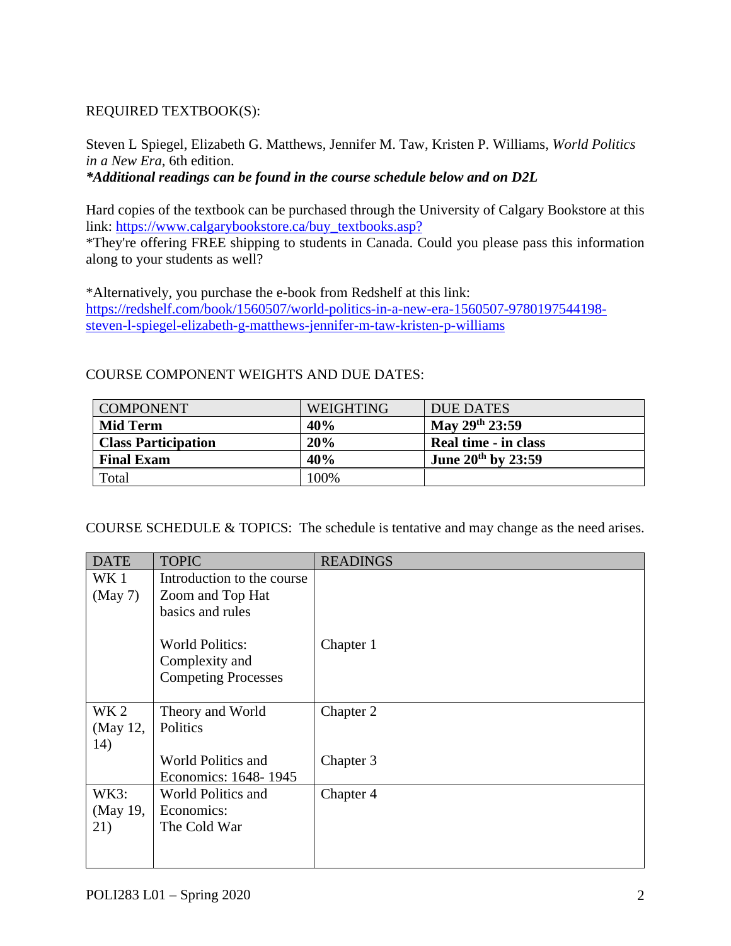# REQUIRED TEXTBOOK(S):

Steven L Spiegel, Elizabeth G. Matthews, Jennifer M. Taw, Kristen P. Williams, *World Politics in a New Era*, 6th edition.

*\*Additional readings can be found in the course schedule below and on D2L*

Hard copies of the textbook can be purchased through the University of Calgary Bookstore at this link: [https://www.calgarybookstore.ca/buy\\_textbooks.asp?](https://www.calgarybookstore.ca/buy_textbooks.asp?)

\*They're offering FREE shipping to students in Canada. Could you please pass this information along to your students as well?

\*Alternatively, you purchase the e-book from Redshelf at this link: [https://redshelf.com/book/1560507/world-politics-in-a-new-era-1560507-9780197544198](https://redshelf.com/book/1560507/world-politics-in-a-new-era-1560507-9780197544198-steven-l-spiegel-elizabeth-g-matthews-jennifer-m-taw-kristen-p-williams) [steven-l-spiegel-elizabeth-g-matthews-jennifer-m-taw-kristen-p-williams](https://redshelf.com/book/1560507/world-politics-in-a-new-era-1560507-9780197544198-steven-l-spiegel-elizabeth-g-matthews-jennifer-m-taw-kristen-p-williams)

# COURSE COMPONENT WEIGHTS AND DUE DATES:

| <b>COMPONENT</b>           | <b>WEIGHTING</b> | <b>DUE DATES</b>          |
|----------------------------|------------------|---------------------------|
| <b>Mid Term</b>            | 40%              | May 29th 23:59            |
| <b>Class Participation</b> | 20%              | Real time - in class      |
| <b>Final Exam</b>          | 40%              | June $20^{th}$ by $23:59$ |
| Total                      | 100%             |                           |

COURSE SCHEDULE & TOPICS: The schedule is tentative and may change as the need arises.

| <b>DATE</b>     | <b>TOPIC</b>               | <b>READINGS</b> |
|-----------------|----------------------------|-----------------|
| WK 1            | Introduction to the course |                 |
| (May 7)         | Zoom and Top Hat           |                 |
|                 | basics and rules           |                 |
|                 |                            |                 |
|                 | <b>World Politics:</b>     | Chapter 1       |
|                 | Complexity and             |                 |
|                 | <b>Competing Processes</b> |                 |
|                 |                            |                 |
| WK <sub>2</sub> | Theory and World           | Chapter 2       |
| (May 12,        | Politics                   |                 |
| 14)             |                            |                 |
|                 | World Politics and         | Chapter 3       |
|                 | Economics: 1648-1945       |                 |
| WK3:            | World Politics and         | Chapter 4       |
| (May 19,        | Economics:                 |                 |
| 21)             | The Cold War               |                 |
|                 |                            |                 |
|                 |                            |                 |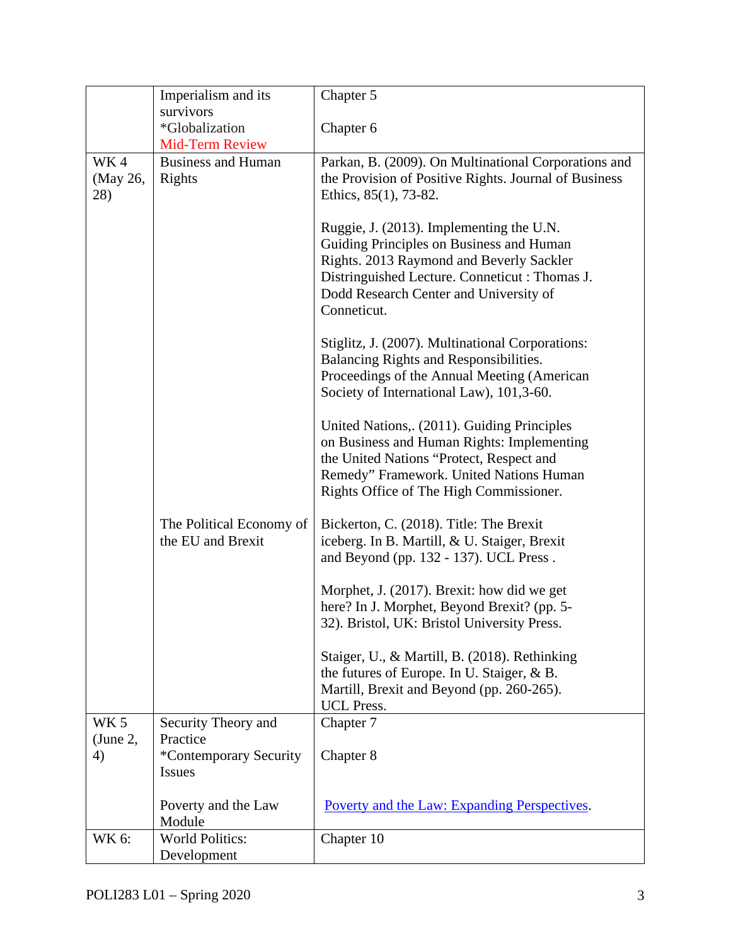|                 | Imperialism and its                           | Chapter 5                                                                                                                                                                                                                                                                                                                                |  |
|-----------------|-----------------------------------------------|------------------------------------------------------------------------------------------------------------------------------------------------------------------------------------------------------------------------------------------------------------------------------------------------------------------------------------------|--|
|                 | survivors                                     |                                                                                                                                                                                                                                                                                                                                          |  |
|                 | *Globalization                                | Chapter 6                                                                                                                                                                                                                                                                                                                                |  |
|                 | Mid-Term Review                               |                                                                                                                                                                                                                                                                                                                                          |  |
| WK4             | <b>Business and Human</b>                     | Parkan, B. (2009). On Multinational Corporations and                                                                                                                                                                                                                                                                                     |  |
| (May 26,        | Rights                                        | the Provision of Positive Rights. Journal of Business                                                                                                                                                                                                                                                                                    |  |
| 28)             |                                               | Ethics, 85(1), 73-82.                                                                                                                                                                                                                                                                                                                    |  |
|                 |                                               | Ruggie, J. (2013). Implementing the U.N.<br>Guiding Principles on Business and Human<br>Rights. 2013 Raymond and Beverly Sackler<br>Distringuished Lecture. Conneticut: Thomas J.<br>Dodd Research Center and University of<br>Conneticut.<br>Stiglitz, J. (2007). Multinational Corporations:<br>Balancing Rights and Responsibilities. |  |
|                 |                                               | Proceedings of the Annual Meeting (American<br>Society of International Law), 101,3-60.                                                                                                                                                                                                                                                  |  |
|                 |                                               | United Nations,. (2011). Guiding Principles<br>on Business and Human Rights: Implementing<br>the United Nations "Protect, Respect and<br>Remedy" Framework. United Nations Human<br>Rights Office of The High Commissioner.                                                                                                              |  |
|                 | The Political Economy of<br>the EU and Brexit | Bickerton, C. (2018). Title: The Brexit<br>iceberg. In B. Martill, & U. Staiger, Brexit<br>and Beyond (pp. 132 - 137). UCL Press.                                                                                                                                                                                                        |  |
|                 |                                               | Morphet, J. (2017). Brexit: how did we get<br>here? In J. Morphet, Beyond Brexit? (pp. 5-                                                                                                                                                                                                                                                |  |
|                 |                                               | 32). Bristol, UK: Bristol University Press.                                                                                                                                                                                                                                                                                              |  |
|                 |                                               | Staiger, U., & Martill, B. (2018). Rethinking<br>the futures of Europe. In U. Staiger, & B.<br>Martill, Brexit and Beyond (pp. 260-265).<br><b>UCL Press.</b>                                                                                                                                                                            |  |
| WK <sub>5</sub> | Security Theory and                           | Chapter 7                                                                                                                                                                                                                                                                                                                                |  |
| (June 2,<br>4)  | Practice<br>*Contemporary Security            | Chapter 8                                                                                                                                                                                                                                                                                                                                |  |
|                 | <b>Issues</b>                                 |                                                                                                                                                                                                                                                                                                                                          |  |
|                 | Poverty and the Law<br>Module                 | Poverty and the Law: Expanding Perspectives.                                                                                                                                                                                                                                                                                             |  |
| WK 6:           | <b>World Politics:</b>                        | Chapter 10                                                                                                                                                                                                                                                                                                                               |  |
|                 | Development                                   |                                                                                                                                                                                                                                                                                                                                          |  |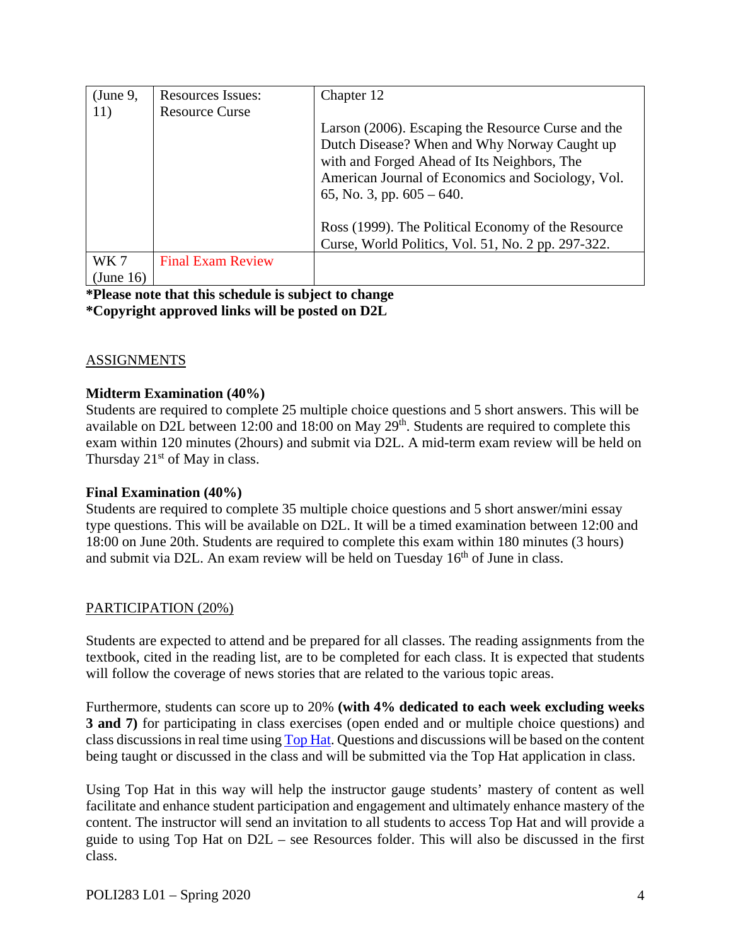| $\mu$ (June 9, | <b>Resources Issues:</b> | Chapter 12                                         |
|----------------|--------------------------|----------------------------------------------------|
| 11)            | <b>Resource Curse</b>    |                                                    |
|                |                          | Larson (2006). Escaping the Resource Curse and the |
|                |                          | Dutch Disease? When and Why Norway Caught up       |
|                |                          | with and Forged Ahead of Its Neighbors, The        |
|                |                          | American Journal of Economics and Sociology, Vol.  |
|                |                          | 65, No. 3, pp. $605 - 640$ .                       |
|                |                          |                                                    |
|                |                          | Ross (1999). The Political Economy of the Resource |
|                |                          | Curse, World Politics, Vol. 51, No. 2 pp. 297-322. |
| WK 7           | <b>Final Exam Review</b> |                                                    |
| (June 16)      |                          |                                                    |

**\*Please note that this schedule is subject to change \*Copyright approved links will be posted on D2L**

### ASSIGNMENTS

### **Midterm Examination (40%)**

Students are required to complete 25 multiple choice questions and 5 short answers. This will be available on D2L between 12:00 and 18:00 on May  $29<sup>th</sup>$ . Students are required to complete this exam within 120 minutes (2hours) and submit via D2L. A mid-term exam review will be held on Thursday  $21<sup>st</sup>$  of May in class.

### **Final Examination (40%)**

Students are required to complete 35 multiple choice questions and 5 short answer/mini essay type questions. This will be available on D2L. It will be a timed examination between 12:00 and 18:00 on June 20th. Students are required to complete this exam within 180 minutes (3 hours) and submit via D2L. An exam review will be held on Tuesday 16<sup>th</sup> of June in class.

### PARTICIPATION (20%)

Students are expected to attend and be prepared for all classes. The reading assignments from the textbook, cited in the reading list, are to be completed for each class. It is expected that students will follow the coverage of news stories that are related to the various topic areas.

Furthermore, students can score up to 20% **(with 4% dedicated to each week excluding weeks 3 and 7)** for participating in class exercises (open ended and or multiple choice questions) and class discussions in real time usin[g Top Hat.](https://tophat.com/) Questions and discussions will be based on the content being taught or discussed in the class and will be submitted via the Top Hat application in class.

Using Top Hat in this way will help the instructor gauge students' mastery of content as well facilitate and enhance student participation and engagement and ultimately enhance mastery of the content. The instructor will send an invitation to all students to access Top Hat and will provide a guide to using Top Hat on D2L – see Resources folder. This will also be discussed in the first class.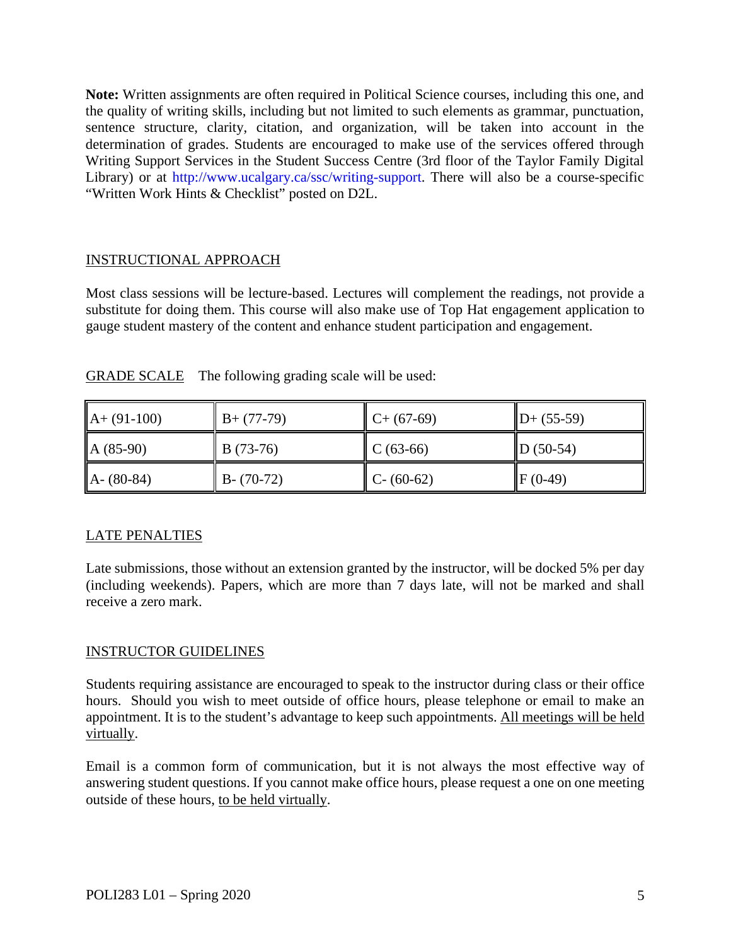**Note:** Written assignments are often required in Political Science courses, including this one, and the quality of writing skills, including but not limited to such elements as grammar, punctuation, sentence structure, clarity, citation, and organization, will be taken into account in the determination of grades. Students are encouraged to make use of the services offered through Writing Support Services in the Student Success Centre (3rd floor of the Taylor Family Digital Library) or at http://www.ucalgary.ca/ssc/writing-support. There will also be a course-specific "Written Work Hints & Checklist" posted on D2L.

# INSTRUCTIONAL APPROACH

Most class sessions will be lecture-based. Lectures will complement the readings, not provide a substitute for doing them. This course will also make use of Top Hat engagement application to gauge student mastery of the content and enhance student participation and engagement.

| $A + (91-100)$ | $B+(77-79)$   | $C+ (67-69)$  | $\mathbf{D} + (55-59)$ |
|----------------|---------------|---------------|------------------------|
| $A(85-90)$     | $B(73-76)$    | $C(63-66)$    | $\mathbb{D}(50-54)$    |
| $A - (80-84)$  | $B - (70-72)$ | $C - (60-62)$ | $IF(0-49)$             |

GRADE SCALE The following grading scale will be used:

# LATE PENALTIES

Late submissions, those without an extension granted by the instructor, will be docked 5% per day (including weekends). Papers, which are more than 7 days late, will not be marked and shall receive a zero mark.

# INSTRUCTOR GUIDELINES

Students requiring assistance are encouraged to speak to the instructor during class or their office hours. Should you wish to meet outside of office hours, please telephone or email to make an appointment. It is to the student's advantage to keep such appointments. All meetings will be held virtually.

Email is a common form of communication, but it is not always the most effective way of answering student questions. If you cannot make office hours, please request a one on one meeting outside of these hours, to be held virtually.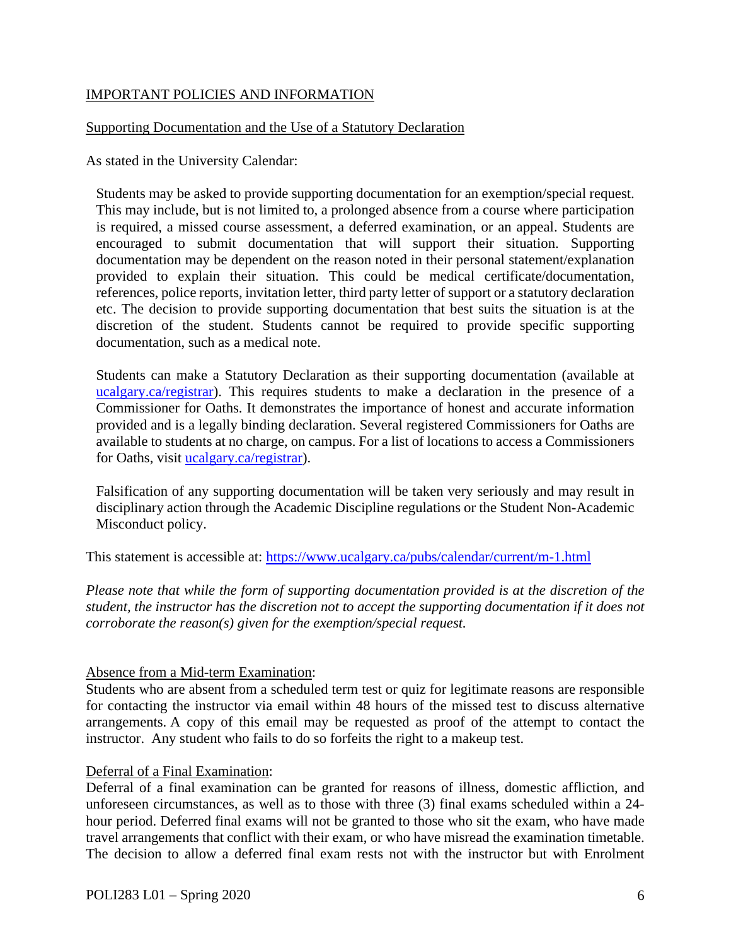### IMPORTANT POLICIES AND INFORMATION

#### Supporting Documentation and the Use of a Statutory Declaration

As stated in the University Calendar:

Students may be asked to provide supporting documentation for an exemption/special request. This may include, but is not limited to, a prolonged absence from a course where participation is required, a missed course assessment, a deferred examination, or an appeal. Students are encouraged to submit documentation that will support their situation. Supporting documentation may be dependent on the reason noted in their personal statement/explanation provided to explain their situation. This could be medical certificate/documentation, references, police reports, invitation letter, third party letter of support or a statutory declaration etc. The decision to provide supporting documentation that best suits the situation is at the discretion of the student. Students cannot be required to provide specific supporting documentation, such as a medical note.

Students can make a Statutory Declaration as their supporting documentation (available at ucalgary.ca/registrar). This requires students to make a declaration in the presence of a Commissioner for Oaths. It demonstrates the importance of honest and accurate information provided and is a legally binding declaration. Several registered Commissioners for Oaths are available to students at no charge, on campus. For a list of locations to access a Commissioners for Oaths, visit [ucalgary.ca/registrar\)](http://www.ucalgary.ca/registrar).

Falsification of any supporting documentation will be taken very seriously and may result in disciplinary action through the Academic Discipline regulations or the Student Non-Academic Misconduct policy.

This statement is accessible at:<https://www.ucalgary.ca/pubs/calendar/current/m-1.html>

*Please note that while the form of supporting documentation provided is at the discretion of the student, the instructor has the discretion not to accept the supporting documentation if it does not corroborate the reason(s) given for the exemption/special request.*

#### Absence from a Mid-term Examination:

Students who are absent from a scheduled term test or quiz for legitimate reasons are responsible for contacting the instructor via email within 48 hours of the missed test to discuss alternative arrangements. A copy of this email may be requested as proof of the attempt to contact the instructor. Any student who fails to do so forfeits the right to a makeup test.

#### Deferral of a Final Examination:

Deferral of a final examination can be granted for reasons of illness, domestic affliction, and unforeseen circumstances, as well as to those with three (3) final exams scheduled within a 24 hour period. Deferred final exams will not be granted to those who sit the exam, who have made travel arrangements that conflict with their exam, or who have misread the examination timetable. The decision to allow a deferred final exam rests not with the instructor but with Enrolment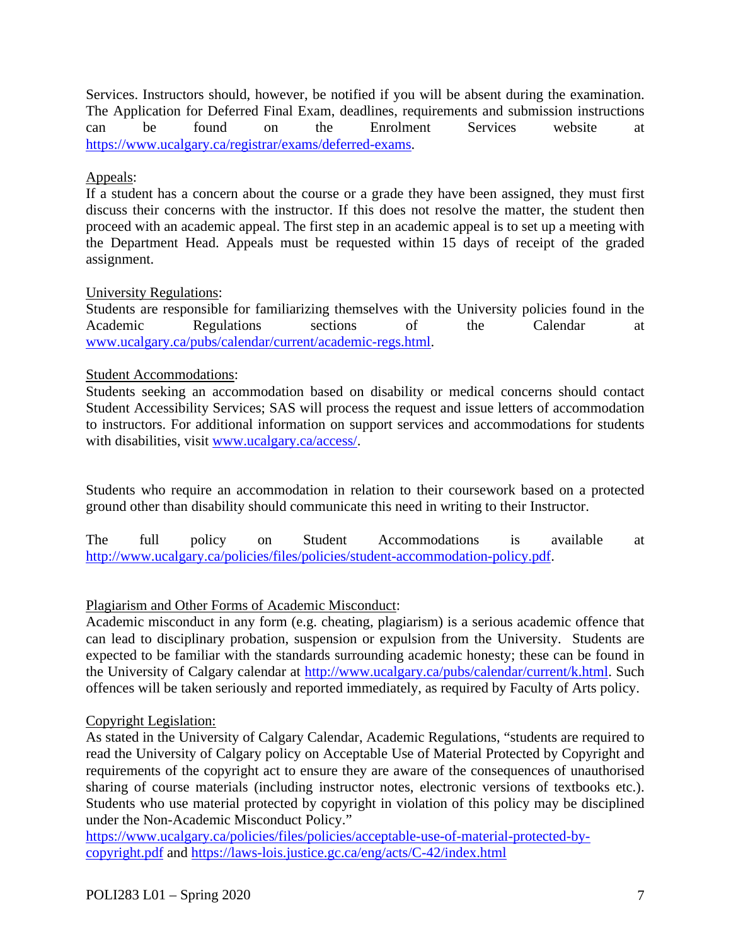Services. Instructors should, however, be notified if you will be absent during the examination. The Application for Deferred Final Exam, deadlines, requirements and submission instructions can be found on the Enrolment Services website at [https://www.ucalgary.ca/registrar/exams/deferred-exams.](https://www.ucalgary.ca/registrar/exams/deferred-exams)

# Appeals:

If a student has a concern about the course or a grade they have been assigned, they must first discuss their concerns with the instructor. If this does not resolve the matter, the student then proceed with an academic appeal. The first step in an academic appeal is to set up a meeting with the Department Head. Appeals must be requested within 15 days of receipt of the graded assignment.

### University Regulations:

Students are responsible for familiarizing themselves with the University policies found in the Academic Regulations sections of the Calendar at [www.ucalgary.ca/pubs/calendar/current/academic-regs.html.](http://www.ucalgary.ca/pubs/calendar/current/academic-regs.html)

### Student Accommodations:

Students seeking an accommodation based on disability or medical concerns should contact Student Accessibility Services; SAS will process the request and issue letters of accommodation to instructors. For additional information on support services and accommodations for students with disabilities, visit [www.ucalgary.ca/access/.](http://www.ucalgary.ca/access/)

Students who require an accommodation in relation to their coursework based on a protected ground other than disability should communicate this need in writing to their Instructor.

The full policy on Student Accommodations is available at [http://www.ucalgary.ca/policies/files/policies/student-accommodation-policy.pdf.](http://www.ucalgary.ca/policies/files/policies/student-accommodation-policy.pdf)

# Plagiarism and Other Forms of Academic Misconduct:

Academic misconduct in any form (e.g. cheating, plagiarism) is a serious academic offence that can lead to disciplinary probation, suspension or expulsion from the University. Students are expected to be familiar with the standards surrounding academic honesty; these can be found in the University of Calgary calendar at [http://www.ucalgary.ca/pubs/calendar/current/k.html.](http://www.ucalgary.ca/pubs/calendar/current/k.html) Such offences will be taken seriously and reported immediately, as required by Faculty of Arts policy.

### Copyright Legislation:

As stated in the University of Calgary Calendar, Academic Regulations, "students are required to read the University of Calgary policy on Acceptable Use of Material Protected by Copyright and requirements of the copyright act to ensure they are aware of the consequences of unauthorised sharing of course materials (including instructor notes, electronic versions of textbooks etc.). Students who use material protected by copyright in violation of this policy may be disciplined under the Non-Academic Misconduct Policy."

[https://www.ucalgary.ca/policies/files/policies/acceptable-use-of-material-protected-by](https://www.ucalgary.ca/policies/files/policies/acceptable-use-of-material-protected-by-copyright.pdf)[copyright.pdf](https://www.ucalgary.ca/policies/files/policies/acceptable-use-of-material-protected-by-copyright.pdf) and<https://laws-lois.justice.gc.ca/eng/acts/C-42/index.html>